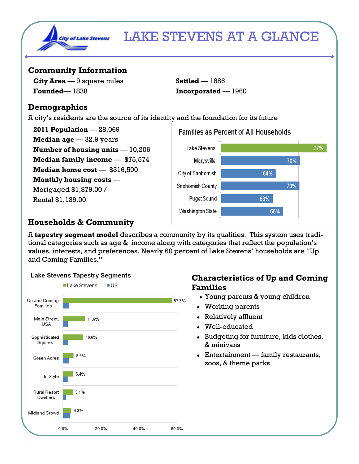

## LAKE STEVENS AT A GLANCE

#### **Community Information**

**City Area** — 9 square miles **Settled** — 1886 **Founded**— 1838 **Incorporated** — 1960

#### **Demographics**

A city's residents are the source of its identity and the foundation for its future

**2011 Population** — 28,069 **Median age** — 32.9 years **Number of housing units** — 10,206 **Median family income — \$75,574 Median home cost** — \$316,500 **Monthly housing costs** — Mortgaged \$1,879.00 / Rental \$1,139.00



## **Households & Community**

A **tapestry segment model** describes a community by its qualities. This system uses traditional categories such as age & income along with categories that reflect the population's values, interests, and preferences. Nearly 60 percent of Lake Stevens' households are "Up and Coming Families."



### **Lake Stevens Tapestry Segments**

#### **Characteristics of Up and Coming Families**

- Young parents & young children
- Working parents
- Relatively affluent
- Well-educated
- Budgeting for furniture, kids clothes, & minivans
- Entertainment family restaurants, zoos, & theme parks